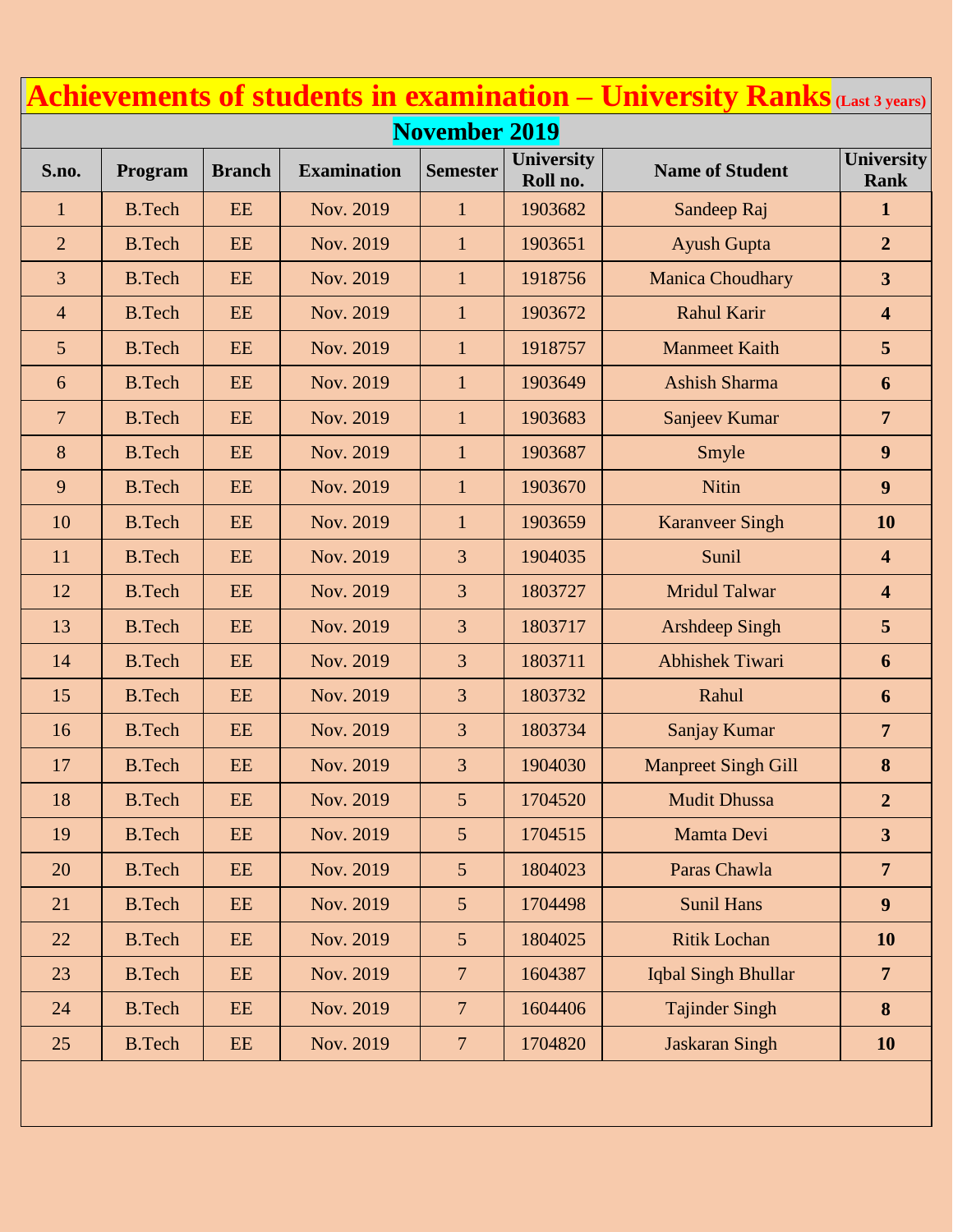|                      |               |               |                    |                          |                        | <b>Achievements of students in examination – University Ranks</b> (Last 3 years) |                                  |  |
|----------------------|---------------|---------------|--------------------|--------------------------|------------------------|----------------------------------------------------------------------------------|----------------------------------|--|
| <b>November 2019</b> |               |               |                    |                          |                        |                                                                                  |                                  |  |
| S.no.                | Program       | <b>Branch</b> | <b>Examination</b> | <b>Semester</b>          | University<br>Roll no. | <b>Name of Student</b>                                                           | <b>University</b><br><b>Rank</b> |  |
| $\mathbf{1}$         | <b>B.Tech</b> | <b>EE</b>     | Nov. 2019          | $\mathbf{1}$             | 1903682                | Sandeep Raj                                                                      | $\mathbf{1}$                     |  |
| $\overline{2}$       | <b>B.Tech</b> | EE            | Nov. 2019          | $\mathbf{1}$             | 1903651                | <b>Ayush Gupta</b>                                                               | $\overline{2}$                   |  |
| 3                    | <b>B.Tech</b> | EE            | Nov. 2019          | $\mathbf{1}$             | 1918756                | <b>Manica Choudhary</b>                                                          | $\overline{\mathbf{3}}$          |  |
| $\overline{4}$       | <b>B.Tech</b> | EE            | Nov. 2019          | $\mathbf{1}$             | 1903672                | <b>Rahul Karir</b>                                                               | $\overline{\mathbf{4}}$          |  |
| 5                    | <b>B.Tech</b> | EE            | Nov. 2019          | $\mathbf{1}$             | 1918757                | <b>Manmeet Kaith</b>                                                             | 5                                |  |
| 6                    | <b>B.Tech</b> | EE            | Nov. 2019          | $\mathbf{1}$             | 1903649                | <b>Ashish Sharma</b>                                                             | 6                                |  |
| $\overline{7}$       | <b>B.Tech</b> | EE            | Nov. 2019          | $\mathbf{1}$             | 1903683                | Sanjeev Kumar                                                                    | $\overline{7}$                   |  |
| 8                    | <b>B.Tech</b> | EE            | Nov. 2019          | $\mathbf{1}$             | 1903687                | Smyle                                                                            | 9                                |  |
| 9                    | <b>B.Tech</b> | EE            | Nov. 2019          | $\mathbf{1}$             | 1903670                | Nitin                                                                            | 9                                |  |
| 10                   | <b>B.Tech</b> | <b>EE</b>     | Nov. 2019          | $\mathbf{1}$             | 1903659                | <b>Karanveer Singh</b>                                                           | 10                               |  |
| 11                   | <b>B.Tech</b> | <b>EE</b>     | Nov. 2019          | 3                        | 1904035                | Sunil                                                                            | $\overline{\mathbf{4}}$          |  |
| 12                   | <b>B.Tech</b> | EE            | Nov. 2019          | 3                        | 1803727                | <b>Mridul Talwar</b>                                                             | $\overline{\mathbf{4}}$          |  |
| 13                   | <b>B.Tech</b> | EE            | Nov. 2019          | 3                        | 1803717                | <b>Arshdeep Singh</b>                                                            | 5                                |  |
| 14                   | <b>B.Tech</b> | EE            | Nov. 2019          | 3                        | 1803711                | <b>Abhishek Tiwari</b>                                                           | 6                                |  |
| 15                   | <b>B.Tech</b> | EE            | Nov. 2019          | 3                        | 1803732                | Rahul                                                                            | 6                                |  |
| 16                   | <b>B.Tech</b> | EE            | Nov. 2019          | 3                        | 1803734                | Sanjay Kumar                                                                     | $\overline{7}$                   |  |
| 17                   | <b>B.Tech</b> | EE            | Nov. 2019          | 3                        | 1904030                | <b>Manpreet Singh Gill</b>                                                       | 8                                |  |
| 18                   | <b>B.Tech</b> | EE            | Nov. 2019          | 5 <sup>5</sup>           | 1704520                | <b>Mudit Dhussa</b>                                                              | $\overline{2}$                   |  |
| 19                   | <b>B.Tech</b> | $\rm{EE}$     | Nov. 2019          | 5 <sup>5</sup>           | 1704515                | Mamta Devi                                                                       | 3                                |  |
| 20                   | <b>B.Tech</b> | EE            | Nov. 2019          | 5 <sup>5</sup>           | 1804023                | Paras Chawla                                                                     | $\overline{7}$                   |  |
| 21                   | <b>B.Tech</b> | EE            | Nov. 2019          | 5 <sup>5</sup>           | 1704498                | <b>Sunil Hans</b>                                                                | 9                                |  |
| 22                   | <b>B.Tech</b> | EE            | Nov. 2019          | 5 <sup>5</sup>           | 1804025                | <b>Ritik Lochan</b>                                                              | <b>10</b>                        |  |
| 23                   | <b>B.Tech</b> | EE            | Nov. 2019          | $7\overline{ }$          | 1604387                | Iqbal Singh Bhullar                                                              | $7\overline{ }$                  |  |
| 24                   | <b>B.Tech</b> | EE            | Nov. 2019          | $\overline{\mathcal{L}}$ | 1604406                | <b>Tajinder Singh</b>                                                            | 8                                |  |
| 25                   | <b>B.Tech</b> | EE            | Nov. 2019          | $\overline{7}$           | 1704820                | <b>Jaskaran Singh</b>                                                            | <b>10</b>                        |  |
|                      |               |               |                    |                          |                        |                                                                                  |                                  |  |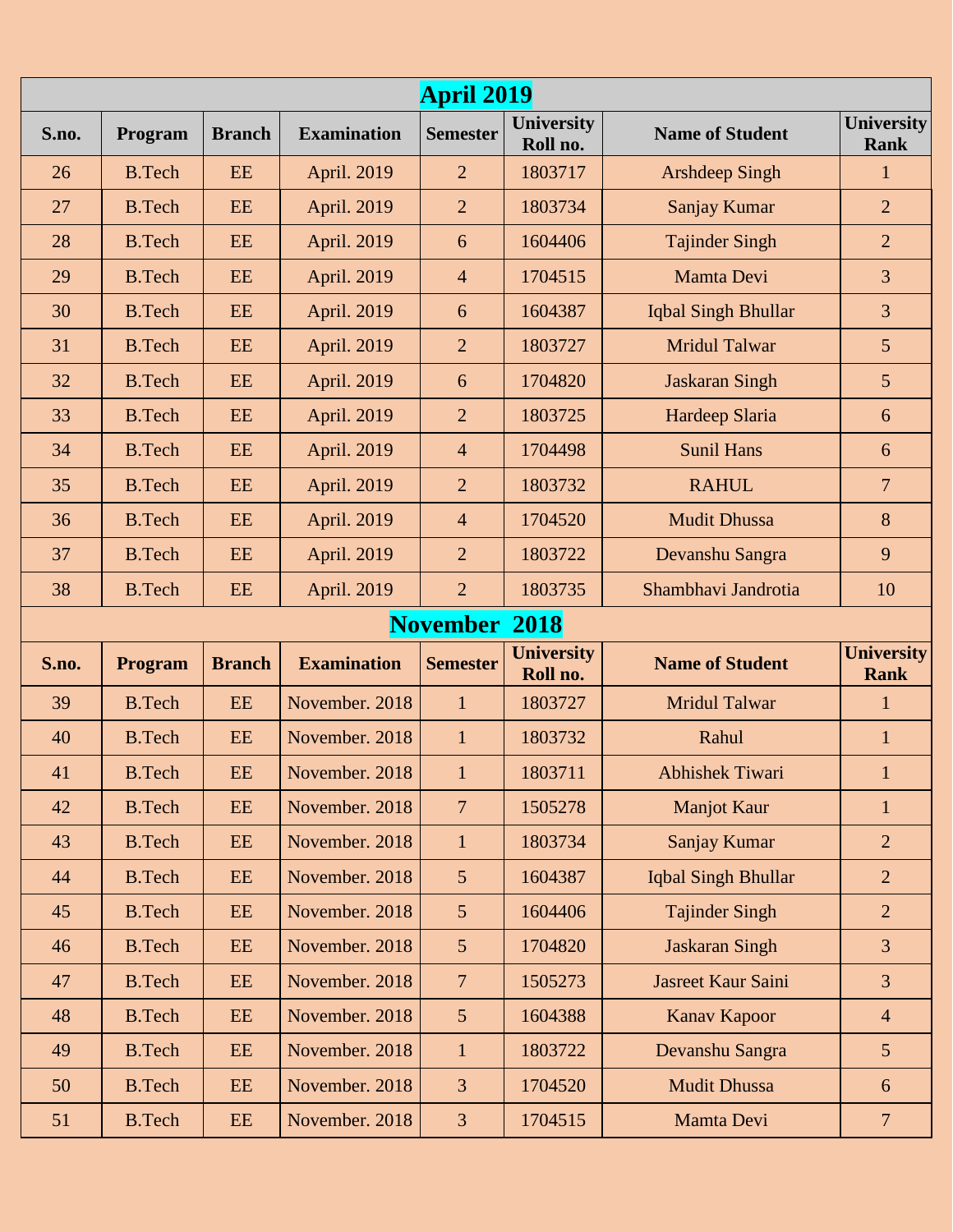| <b>April 2019</b>       |                |               |                    |                 |                               |                        |                                  |  |
|-------------------------|----------------|---------------|--------------------|-----------------|-------------------------------|------------------------|----------------------------------|--|
| S.no.                   | Program        | <b>Branch</b> | <b>Examination</b> | <b>Semester</b> | <b>University</b><br>Roll no. | <b>Name of Student</b> | <b>University</b><br><b>Rank</b> |  |
| 26                      | <b>B.Tech</b>  | EE            | April. 2019        | $\overline{2}$  | 1803717                       | <b>Arshdeep Singh</b>  | $\mathbf{1}$                     |  |
| 27                      | <b>B.Tech</b>  | EE            | April. 2019        | $\overline{2}$  | 1803734                       | Sanjay Kumar           | $\overline{2}$                   |  |
| 28                      | <b>B.Tech</b>  | EE            | April. 2019        | 6               | 1604406                       | <b>Tajinder Singh</b>  | $\overline{2}$                   |  |
| 29                      | <b>B.Tech</b>  | EE            | April. 2019        | $\overline{4}$  | 1704515                       | Mamta Devi             | 3                                |  |
| 30                      | <b>B.Tech</b>  | EE            | April. 2019        | 6               | 1604387                       | Iqbal Singh Bhullar    | 3                                |  |
| 31                      | <b>B.Tech</b>  | EE            | April. 2019        | $\overline{2}$  | 1803727                       | <b>Mridul Talwar</b>   | $5\overline{)}$                  |  |
| 32                      | <b>B.Tech</b>  | EE            | April. 2019        | 6               | 1704820                       | <b>Jaskaran Singh</b>  | $5\overline{)}$                  |  |
| 33                      | <b>B.Tech</b>  | EE            | April. 2019        | $\overline{2}$  | 1803725                       | Hardeep Slaria         | 6                                |  |
| 34                      | <b>B.Tech</b>  | EE            | April. 2019        | $\overline{4}$  | 1704498                       | <b>Sunil Hans</b>      | 6                                |  |
| 35                      | <b>B.Tech</b>  | EE            | April. 2019        | $\overline{2}$  | 1803732                       | <b>RAHUL</b>           | $\overline{7}$                   |  |
| 36                      | <b>B.Tech</b>  | EE            | April. 2019        | $\overline{4}$  | 1704520                       | <b>Mudit Dhussa</b>    | 8                                |  |
| 37                      | <b>B.Tech</b>  | EE            | April. 2019        | $\overline{2}$  | 1803722                       | Devanshu Sangra        | 9                                |  |
| 38                      | <b>B.Tech</b>  | EE            | April. 2019        | $\overline{2}$  | 1803735                       | Shambhavi Jandrotia    | 10                               |  |
| <b>November</b><br>2018 |                |               |                    |                 |                               |                        |                                  |  |
| S.no.                   | <b>Program</b> | <b>Branch</b> | <b>Examination</b> | <b>Semester</b> | <b>University</b><br>Roll no. | <b>Name of Student</b> | <b>University</b><br><b>Rank</b> |  |
| 39                      | <b>B.Tech</b>  | EE            | November. 2018     | $\mathbf{1}$    | 1803727                       | <b>Mridul Talwar</b>   | $\mathbf{1}$                     |  |
| 40                      | <b>B.Tech</b>  | EE            | November, 2018     | $\mathbf{1}$    | 1803732                       | Rahul                  | $\mathbf{1}$                     |  |
| 41                      | <b>B.Tech</b>  | EE            | November. 2018     | $\mathbf{1}$    | 1803711                       | Abhishek Tiwari        | $\mathbf{1}$                     |  |
| 42                      | <b>B.Tech</b>  | EE            | November. 2018     | $\overline{7}$  | 1505278                       | <b>Manjot Kaur</b>     | $\mathbf{1}$                     |  |
| 43                      | <b>B.Tech</b>  | EE            | November. 2018     | $\mathbf{1}$    | 1803734                       | Sanjay Kumar           | $\overline{2}$                   |  |
| 44                      | <b>B.Tech</b>  | EE            | November. 2018     | $5\overline{)}$ | 1604387                       | Iqbal Singh Bhullar    | $\overline{2}$                   |  |
| 45                      | <b>B.Tech</b>  | EE            | November. 2018     | $5\overline{)}$ | 1604406                       | <b>Tajinder Singh</b>  | $\overline{2}$                   |  |
| 46                      | <b>B.Tech</b>  | EE            | November. 2018     | $5\overline{)}$ | 1704820                       | <b>Jaskaran Singh</b>  | $\overline{3}$                   |  |
| 47                      | <b>B.Tech</b>  | EE            | November. 2018     | $\overline{7}$  | 1505273                       | Jasreet Kaur Saini     | $\overline{3}$                   |  |
| 48                      | <b>B.Tech</b>  | EE            | November. 2018     | $5\overline{)}$ | 1604388                       | Kanav Kapoor           | $\overline{4}$                   |  |
| 49                      | <b>B.Tech</b>  | EE            | November. 2018     | $\mathbf{1}$    | 1803722                       | Devanshu Sangra        | 5 <sup>5</sup>                   |  |
| 50                      | <b>B.Tech</b>  | EE            | November. 2018     | 3               | 1704520                       | <b>Mudit Dhussa</b>    | 6                                |  |
| 51                      | <b>B.Tech</b>  | EE            | November. 2018     | $\overline{3}$  | 1704515                       | Mamta Devi             | $7\phantom{.}$                   |  |